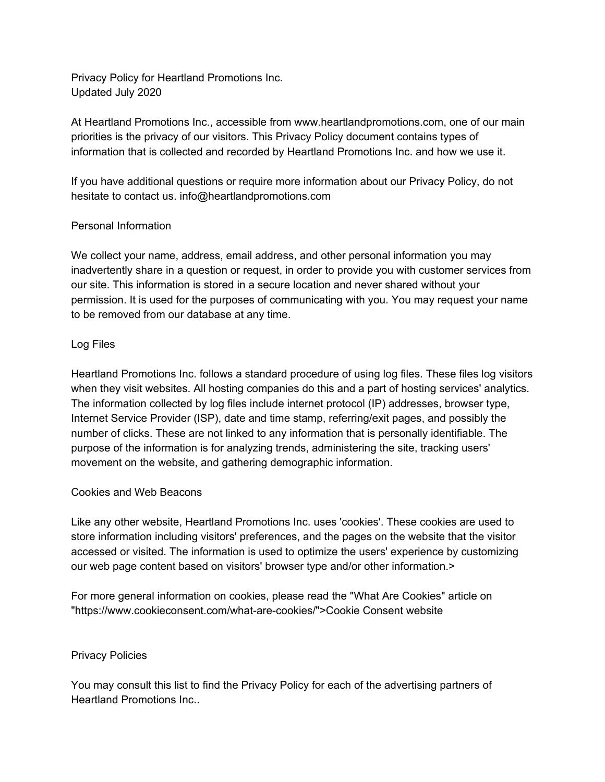Privacy Policy for Heartland Promotions Inc. Updated July 2020

At Heartland Promotions Inc., accessible from www.heartlandpromotions.com, one of our main priorities is the privacy of our visitors. This Privacy Policy document contains types of information that is collected and recorded by Heartland Promotions Inc. and how we use it.

If you have additional questions or require more information about our Privacy Policy, do not hesitate to contact us. info@heartlandpromotions.com

# Personal Information

We collect your name, address, email address, and other personal information you may inadvertently share in a question or request, in order to provide you with customer services from our site. This information is stored in a secure location and never shared without your permission. It is used for the purposes of communicating with you. You may request your name to be removed from our database at any time.

## Log Files

Heartland Promotions Inc. follows a standard procedure of using log files. These files log visitors when they visit websites. All hosting companies do this and a part of hosting services' analytics. The information collected by log files include internet protocol (IP) addresses, browser type, Internet Service Provider (ISP), date and time stamp, referring/exit pages, and possibly the number of clicks. These are not linked to any information that is personally identifiable. The purpose of the information is for analyzing trends, administering the site, tracking users' movement on the website, and gathering demographic information.

### Cookies and Web Beacons

Like any other website, Heartland Promotions Inc. uses 'cookies'. These cookies are used to store information including visitors' preferences, and the pages on the website that the visitor accessed or visited. The information is used to optimize the users' experience by customizing our web page content based on visitors' browser type and/or other information.>

For more general information on cookies, please read the "What Are Cookies" article on "https://www.cookieconsent.com/what-are-cookies/">Cookie Consent website

### Privacy Policies

You may consult this list to find the Privacy Policy for each of the advertising partners of Heartland Promotions Inc..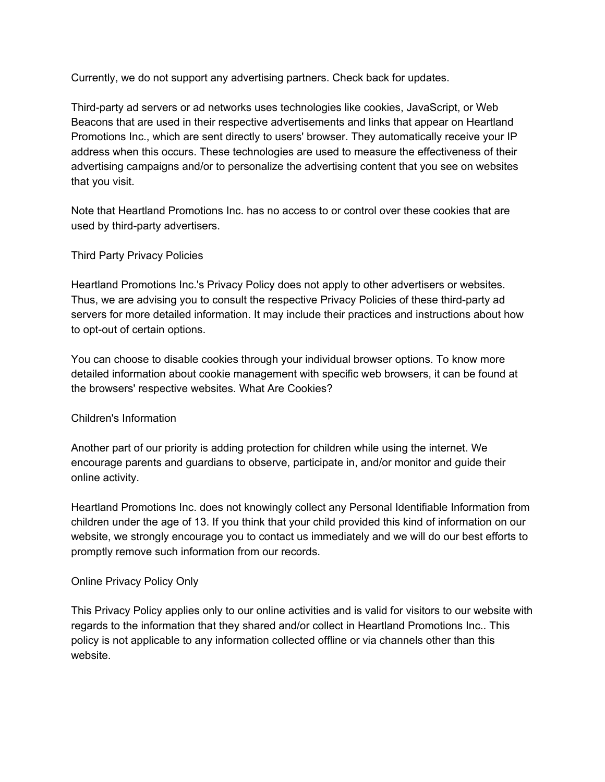Currently, we do not support any advertising partners. Check back for updates.

Third-party ad servers or ad networks uses technologies like cookies, JavaScript, or Web Beacons that are used in their respective advertisements and links that appear on Heartland Promotions Inc., which are sent directly to users' browser. They automatically receive your IP address when this occurs. These technologies are used to measure the effectiveness of their advertising campaigns and/or to personalize the advertising content that you see on websites that you visit.

Note that Heartland Promotions Inc. has no access to or control over these cookies that are used by third-party advertisers.

## Third Party Privacy Policies

Heartland Promotions Inc.'s Privacy Policy does not apply to other advertisers or websites. Thus, we are advising you to consult the respective Privacy Policies of these third-party ad servers for more detailed information. It may include their practices and instructions about how to opt-out of certain options.

You can choose to disable cookies through your individual browser options. To know more detailed information about cookie management with specific web browsers, it can be found at the browsers' respective websites. What Are Cookies?

# Children's Information

Another part of our priority is adding protection for children while using the internet. We encourage parents and guardians to observe, participate in, and/or monitor and guide their online activity.

Heartland Promotions Inc. does not knowingly collect any Personal Identifiable Information from children under the age of 13. If you think that your child provided this kind of information on our website, we strongly encourage you to contact us immediately and we will do our best efforts to promptly remove such information from our records.

### Online Privacy Policy Only

This Privacy Policy applies only to our online activities and is valid for visitors to our website with regards to the information that they shared and/or collect in Heartland Promotions Inc.. This policy is not applicable to any information collected offline or via channels other than this website.